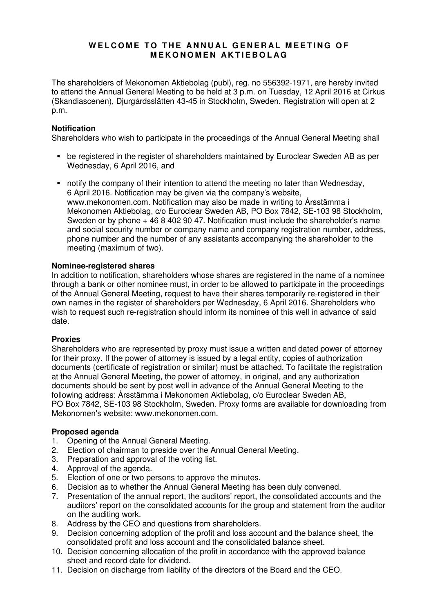# **WELCOME TO THE ANNUAL GENERAL MEETING OF M E K O N O M E N A K T I E B O L A G**

The shareholders of Mekonomen Aktiebolag (publ), reg. no 556392-1971, are hereby invited to attend the Annual General Meeting to be held at 3 p.m. on Tuesday, 12 April 2016 at Cirkus (Skandiascenen), Djurgårdsslätten 43-45 in Stockholm, Sweden. Registration will open at 2 p.m.

# **Notification**

Shareholders who wish to participate in the proceedings of the Annual General Meeting shall

- be registered in the register of shareholders maintained by Euroclear Sweden AB as per Wednesday, 6 April 2016, and
- notify the company of their intention to attend the meeting no later than Wednesday, 6 April 2016. Notification may be given via the company's website, www.mekonomen.com. Notification may also be made in writing to Årsstämma i Mekonomen Aktiebolag, c/o Euroclear Sweden AB, PO Box 7842, SE-103 98 Stockholm, Sweden or by phone  $+4684029047$ . Notification must include the shareholder's name and social security number or company name and company registration number, address, phone number and the number of any assistants accompanying the shareholder to the meeting (maximum of two).

# **Nominee-registered shares**

In addition to notification, shareholders whose shares are registered in the name of a nominee through a bank or other nominee must, in order to be allowed to participate in the proceedings of the Annual General Meeting, request to have their shares temporarily re-registered in their own names in the register of shareholders per Wednesday, 6 April 2016. Shareholders who wish to request such re-registration should inform its nominee of this well in advance of said date.

# **Proxies**

Shareholders who are represented by proxy must issue a written and dated power of attorney for their proxy. If the power of attorney is issued by a legal entity, copies of authorization documents (certificate of registration or similar) must be attached. To facilitate the registration at the Annual General Meeting, the power of attorney, in original, and any authorization documents should be sent by post well in advance of the Annual General Meeting to the following address: Årsstämma i Mekonomen Aktiebolag, c/o Euroclear Sweden AB, PO Box 7842, SE-103 98 Stockholm, Sweden. Proxy forms are available for downloading from Mekonomen's website: www.mekonomen.com.

# **Proposed agenda**

- 1. Opening of the Annual General Meeting.
- 2. Election of chairman to preside over the Annual General Meeting.
- 3. Preparation and approval of the voting list.
- 4. Approval of the agenda.
- 5. Election of one or two persons to approve the minutes.
- 6. Decision as to whether the Annual General Meeting has been duly convened.
- 7. Presentation of the annual report, the auditors' report, the consolidated accounts and the auditors' report on the consolidated accounts for the group and statement from the auditor on the auditing work.
- 8. Address by the CEO and questions from shareholders.
- 9. Decision concerning adoption of the profit and loss account and the balance sheet, the consolidated profit and loss account and the consolidated balance sheet.
- 10. Decision concerning allocation of the profit in accordance with the approved balance sheet and record date for dividend.
- 11. Decision on discharge from liability of the directors of the Board and the CEO.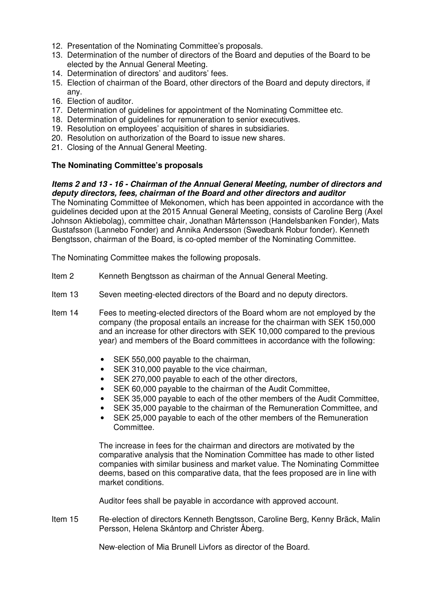- 12. Presentation of the Nominating Committee's proposals.
- 13. Determination of the number of directors of the Board and deputies of the Board to be elected by the Annual General Meeting.
- 14. Determination of directors' and auditors' fees.
- 15. Election of chairman of the Board, other directors of the Board and deputy directors, if any.
- 16. Election of auditor.
- 17. Determination of guidelines for appointment of the Nominating Committee etc.
- 18. Determination of guidelines for remuneration to senior executives.
- 19. Resolution on employees' acquisition of shares in subsidiaries.
- 20. Resolution on authorization of the Board to issue new shares.
- 21. Closing of the Annual General Meeting.

# **The Nominating Committee's proposals**

# **Items 2 and 13 - 16 - Chairman of the Annual General Meeting, number of directors and deputy directors, fees, chairman of the Board and other directors and auditor**

The Nominating Committee of Mekonomen, which has been appointed in accordance with the guidelines decided upon at the 2015 Annual General Meeting, consists of Caroline Berg (Axel Johnson Aktiebolag), committee chair, Jonathan Mårtensson (Handelsbanken Fonder), Mats Gustafsson (Lannebo Fonder) and Annika Andersson (Swedbank Robur fonder). Kenneth Bengtsson, chairman of the Board, is co-opted member of the Nominating Committee.

The Nominating Committee makes the following proposals.

- Item 2 Kenneth Bengtsson as chairman of the Annual General Meeting.
- Item 13 Seven meeting-elected directors of the Board and no deputy directors.
- Item 14 Fees to meeting-elected directors of the Board whom are not employed by the company (the proposal entails an increase for the chairman with SEK 150,000 and an increase for other directors with SEK 10,000 compared to the previous year) and members of the Board committees in accordance with the following:
	- SEK 550,000 payable to the chairman,
	- SEK 310,000 payable to the vice chairman,
	- SEK 270,000 payable to each of the other directors.
	- SEK 60,000 payable to the chairman of the Audit Committee.
	- SEK 35,000 payable to each of the other members of the Audit Committee,
	- SEK 35,000 payable to the chairman of the Remuneration Committee, and
	- SEK 25,000 payable to each of the other members of the Remuneration Committee.

The increase in fees for the chairman and directors are motivated by the comparative analysis that the Nomination Committee has made to other listed companies with similar business and market value. The Nominating Committee deems, based on this comparative data, that the fees proposed are in line with market conditions.

Auditor fees shall be payable in accordance with approved account.

Item 15 Re-election of directors Kenneth Bengtsson, Caroline Berg, Kenny Bräck, Malin Persson, Helena Skåntorp and Christer Åberg.

New-election of Mia Brunell Livfors as director of the Board.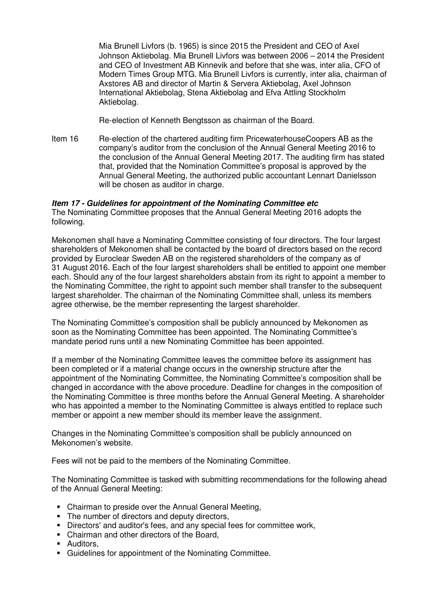Mia Brunell Livfors (b. 1965) is since 2015 the President and CEO of Axel Johnson Aktiebolag. Mia Brunell Livfors was between 2006 – 2014 the President and CEO of Investment AB Kinnevik and before that she was, inter alia, CFO of Modern Times Group MTG. Mia Brunell Livfors is currently, inter alia, chairman of Axstores AB and director of Martin & Servera Aktiebolag, Axel Johnson International Aktiebolag, Stena Aktiebolag and Efva Attling Stockholm Aktiebolag.

Re-election of Kenneth Bengtsson as chairman of the Board.

Item 16 Re-election of the chartered auditing firm PricewaterhouseCoopers AB as the company's auditor from the conclusion of the Annual General Meeting 2016 to the conclusion of the Annual General Meeting 2017. The auditing firm has stated that, provided that the Nomination Committee's proposal is approved by the Annual General Meeting, the authorized public accountant Lennart Danielsson will be chosen as auditor in charge.

### **Item 17 - Guidelines for appointment of the Nominating Committee etc**

The Nominating Committee proposes that the Annual General Meeting 2016 adopts the following.

Mekonomen shall have a Nominating Committee consisting of four directors. The four largest shareholders of Mekonomen shall be contacted by the board of directors based on the record provided by Euroclear Sweden AB on the registered shareholders of the company as of 31 August 2016. Each of the four largest shareholders shall be entitled to appoint one member each. Should any of the four largest shareholders abstain from its right to appoint a member to the Nominating Committee, the right to appoint such member shall transfer to the subsequent largest shareholder. The chairman of the Nominating Committee shall, unless its members agree otherwise, be the member representing the largest shareholder.

The Nominating Committee's composition shall be publicly announced by Mekonomen as soon as the Nominating Committee has been appointed. The Nominating Committee's mandate period runs until a new Nominating Committee has been appointed.

If a member of the Nominating Committee leaves the committee before its assignment has been completed or if a material change occurs in the ownership structure after the appointment of the Nominating Committee, the Nominating Committee's composition shall be changed in accordance with the above procedure. Deadline for changes in the composition of the Nominating Committee is three months before the Annual General Meeting. A shareholder who has appointed a member to the Nominating Committee is always entitled to replace such member or appoint a new member should its member leave the assignment.

Changes in the Nominating Committee's composition shall be publicly announced on Mekonomen's website.

Fees will not be paid to the members of the Nominating Committee.

The Nominating Committee is tasked with submitting recommendations for the following ahead of the Annual General Meeting:

- Chairman to preside over the Annual General Meeting,
- The number of directors and deputy directors,
- Directors' and auditor's fees, and any special fees for committee work,
- Chairman and other directors of the Board,
- **-** Auditors,
- Guidelines for appointment of the Nominating Committee.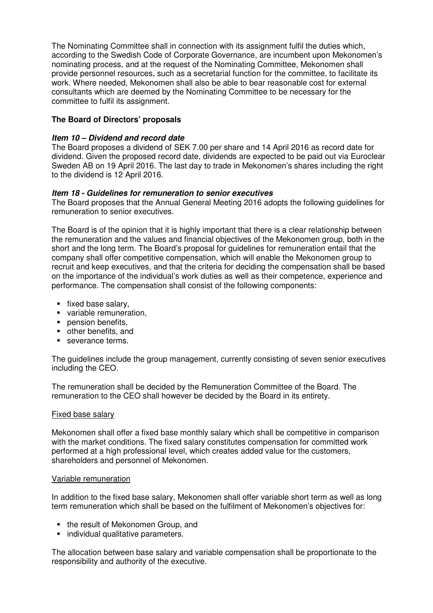The Nominating Committee shall in connection with its assignment fulfil the duties which, according to the Swedish Code of Corporate Governance, are incumbent upon Mekonomen's nominating process, and at the request of the Nominating Committee, Mekonomen shall provide personnel resources, such as a secretarial function for the committee, to facilitate its work. Where needed, Mekonomen shall also be able to bear reasonable cost for external consultants which are deemed by the Nominating Committee to be necessary for the committee to fulfil its assignment.

# **The Board of Directors' proposals**

# **Item 10 – Dividend and record date**

The Board proposes a dividend of SEK 7.00 per share and 14 April 2016 as record date for dividend. Given the proposed record date, dividends are expected to be paid out via Euroclear Sweden AB on 19 April 2016. The last day to trade in Mekonomen's shares including the right to the dividend is 12 April 2016.

# **Item 18 - Guidelines for remuneration to senior executives**

The Board proposes that the Annual General Meeting 2016 adopts the following guidelines for remuneration to senior executives.

The Board is of the opinion that it is highly important that there is a clear relationship between the remuneration and the values and financial objectives of the Mekonomen group, both in the short and the long term. The Board's proposal for guidelines for remuneration entail that the company shall offer competitive compensation, which will enable the Mekonomen group to recruit and keep executives, and that the criteria for deciding the compensation shall be based on the importance of the individual's work duties as well as their competence, experience and performance. The compensation shall consist of the following components:

- fixed base salary,
- variable remuneration.
- **pension benefits.**
- other benefits, and
- severance terms.

The guidelines include the group management, currently consisting of seven senior executives including the CEO.

The remuneration shall be decided by the Remuneration Committee of the Board. The remuneration to the CEO shall however be decided by the Board in its entirety.

# Fixed base salary

Mekonomen shall offer a fixed base monthly salary which shall be competitive in comparison with the market conditions. The fixed salary constitutes compensation for committed work performed at a high professional level, which creates added value for the customers, shareholders and personnel of Mekonomen.

#### Variable remuneration

In addition to the fixed base salary, Mekonomen shall offer variable short term as well as long term remuneration which shall be based on the fulfilment of Mekonomen's objectives for:

- the result of Mekonomen Group, and
- **individual qualitative parameters.**

The allocation between base salary and variable compensation shall be proportionate to the responsibility and authority of the executive.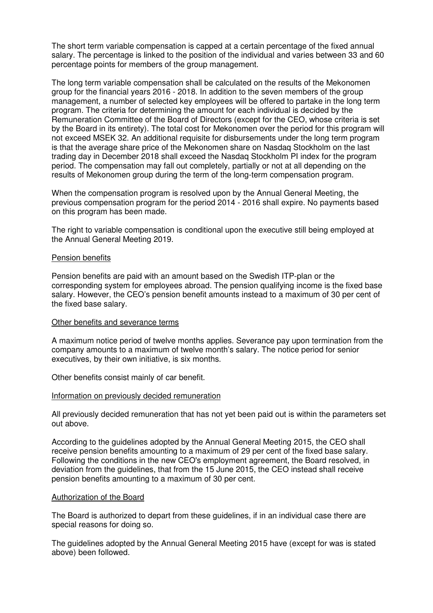The short term variable compensation is capped at a certain percentage of the fixed annual salary. The percentage is linked to the position of the individual and varies between 33 and 60 percentage points for members of the group management.

The long term variable compensation shall be calculated on the results of the Mekonomen group for the financial years 2016 - 2018. In addition to the seven members of the group management, a number of selected key employees will be offered to partake in the long term program. The criteria for determining the amount for each individual is decided by the Remuneration Committee of the Board of Directors (except for the CEO, whose criteria is set by the Board in its entirety). The total cost for Mekonomen over the period for this program will not exceed MSEK 32. An additional requisite for disbursements under the long term program is that the average share price of the Mekonomen share on Nasdaq Stockholm on the last trading day in December 2018 shall exceed the Nasdaq Stockholm PI index for the program period. The compensation may fall out completely, partially or not at all depending on the results of Mekonomen group during the term of the long-term compensation program.

When the compensation program is resolved upon by the Annual General Meeting, the previous compensation program for the period 2014 - 2016 shall expire. No payments based on this program has been made.

The right to variable compensation is conditional upon the executive still being employed at the Annual General Meeting 2019.

#### Pension benefits

Pension benefits are paid with an amount based on the Swedish ITP-plan or the corresponding system for employees abroad. The pension qualifying income is the fixed base salary. However, the CEO's pension benefit amounts instead to a maximum of 30 per cent of the fixed base salary.

#### Other benefits and severance terms

A maximum notice period of twelve months applies. Severance pay upon termination from the company amounts to a maximum of twelve month's salary. The notice period for senior executives, by their own initiative, is six months.

Other benefits consist mainly of car benefit.

#### Information on previously decided remuneration

All previously decided remuneration that has not yet been paid out is within the parameters set out above.

According to the guidelines adopted by the Annual General Meeting 2015, the CEO shall receive pension benefits amounting to a maximum of 29 per cent of the fixed base salary. Following the conditions in the new CEO's employment agreement, the Board resolved, in deviation from the guidelines, that from the 15 June 2015, the CEO instead shall receive pension benefits amounting to a maximum of 30 per cent.

#### Authorization of the Board

The Board is authorized to depart from these guidelines, if in an individual case there are special reasons for doing so.

The guidelines adopted by the Annual General Meeting 2015 have (except for was is stated above) been followed.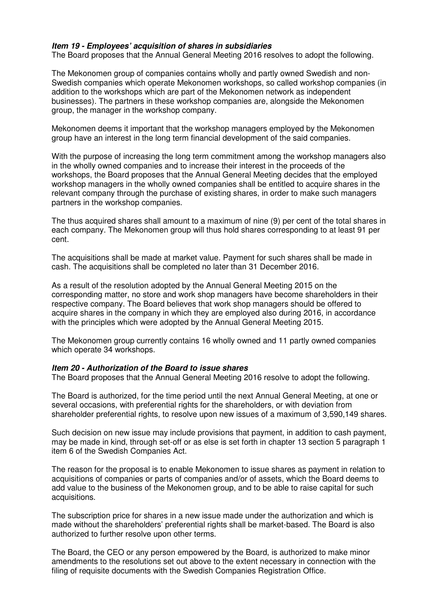### **Item 19 - Employees' acquisition of shares in subsidiaries**

The Board proposes that the Annual General Meeting 2016 resolves to adopt the following.

The Mekonomen group of companies contains wholly and partly owned Swedish and non-Swedish companies which operate Mekonomen workshops, so called workshop companies (in addition to the workshops which are part of the Mekonomen network as independent businesses). The partners in these workshop companies are, alongside the Mekonomen group, the manager in the workshop company.

Mekonomen deems it important that the workshop managers employed by the Mekonomen group have an interest in the long term financial development of the said companies.

With the purpose of increasing the long term commitment among the workshop managers also in the wholly owned companies and to increase their interest in the proceeds of the workshops, the Board proposes that the Annual General Meeting decides that the employed workshop managers in the wholly owned companies shall be entitled to acquire shares in the relevant company through the purchase of existing shares, in order to make such managers partners in the workshop companies.

The thus acquired shares shall amount to a maximum of nine (9) per cent of the total shares in each company. The Mekonomen group will thus hold shares corresponding to at least 91 per cent.

The acquisitions shall be made at market value. Payment for such shares shall be made in cash. The acquisitions shall be completed no later than 31 December 2016.

As a result of the resolution adopted by the Annual General Meeting 2015 on the corresponding matter, no store and work shop managers have become shareholders in their respective company. The Board believes that work shop managers should be offered to acquire shares in the company in which they are employed also during 2016, in accordance with the principles which were adopted by the Annual General Meeting 2015.

The Mekonomen group currently contains 16 wholly owned and 11 partly owned companies which operate 34 workshops.

#### **Item 20 - Authorization of the Board to issue shares**

The Board proposes that the Annual General Meeting 2016 resolve to adopt the following.

The Board is authorized, for the time period until the next Annual General Meeting, at one or several occasions, with preferential rights for the shareholders, or with deviation from shareholder preferential rights, to resolve upon new issues of a maximum of 3,590,149 shares.

Such decision on new issue may include provisions that payment, in addition to cash payment, may be made in kind, through set-off or as else is set forth in chapter 13 section 5 paragraph 1 item 6 of the Swedish Companies Act.

The reason for the proposal is to enable Mekonomen to issue shares as payment in relation to acquisitions of companies or parts of companies and/or of assets, which the Board deems to add value to the business of the Mekonomen group, and to be able to raise capital for such acquisitions.

The subscription price for shares in a new issue made under the authorization and which is made without the shareholders' preferential rights shall be market-based. The Board is also authorized to further resolve upon other terms.

The Board, the CEO or any person empowered by the Board, is authorized to make minor amendments to the resolutions set out above to the extent necessary in connection with the filing of requisite documents with the Swedish Companies Registration Office.